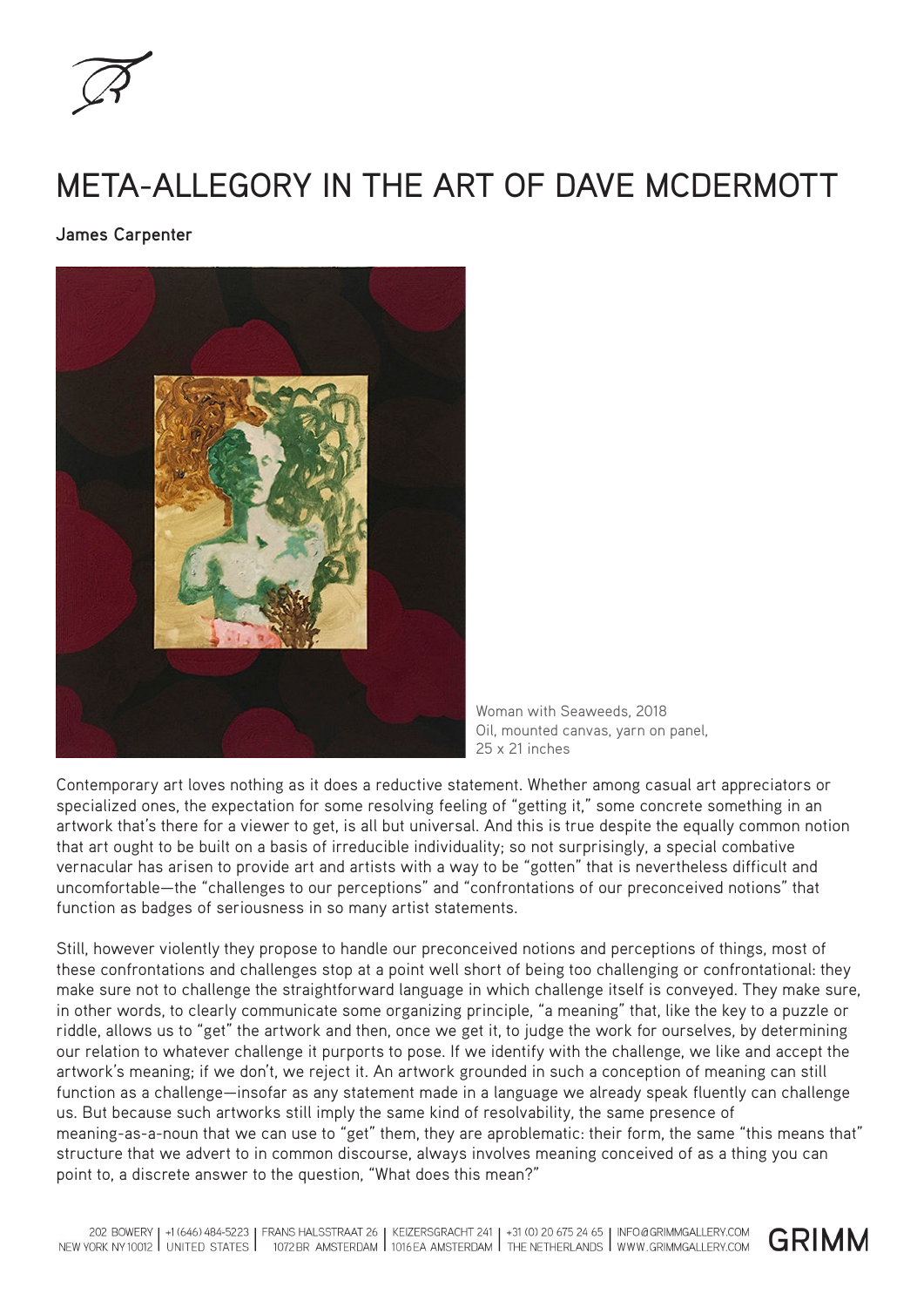

## META-ALLEGORY IN THE ART OF DAVE MCDERMOTT

**James Carpenter**



Woman with Seaweeds, 2018 Oil, mounted canvas, yarn on panel, 25 x 21 inches

Contemporary art loves nothing as it does a reductive statement. Whether among casual art appreciators or specialized ones, the expectation for some resolving feeling of "getting it," some concrete something in an artwork that's there for a viewer to get, is all but universal. And this is true despite the equally common notion that art ought to be built on a basis of irreducible individuality; so not surprisingly, a special combative vernacular has arisen to provide art and artists with a way to be "gotten" that is nevertheless difficult and uncomfortable—the "challenges to our perceptions" and "confrontations of our preconceived notions" that function as badges of seriousness in so many artist statements.

Still, however violently they propose to handle our preconceived notions and perceptions of things, most of these confrontations and challenges stop at a point well short of being too challenging or confrontational: they make sure not to challenge the straightforward language in which challenge itself is conveyed. They make sure, in other words, to clearly communicate some organizing principle, "a meaning" that, like the key to a puzzle or riddle, allows us to "get" the artwork and then, once we get it, to judge the work for ourselves, by determining our relation to whatever challenge it purports to pose. If we identify with the challenge, we like and accept the artwork's meaning; if we don't, we reject it. An artwork grounded in such a conception of meaning can still function as a challenge—insofar as any statement made in a language we already speak fluently can challenge us. But because such artworks still imply the same kind of resolvability, the same presence of meaning-as-a-noun that we can use to "get" them, they are aproblematic: their form, the same "this means that" structure that we advert to in common discourse, always involves meaning conceived of as a thing you can point to, a discrete answer to the question, "What does this mean?"

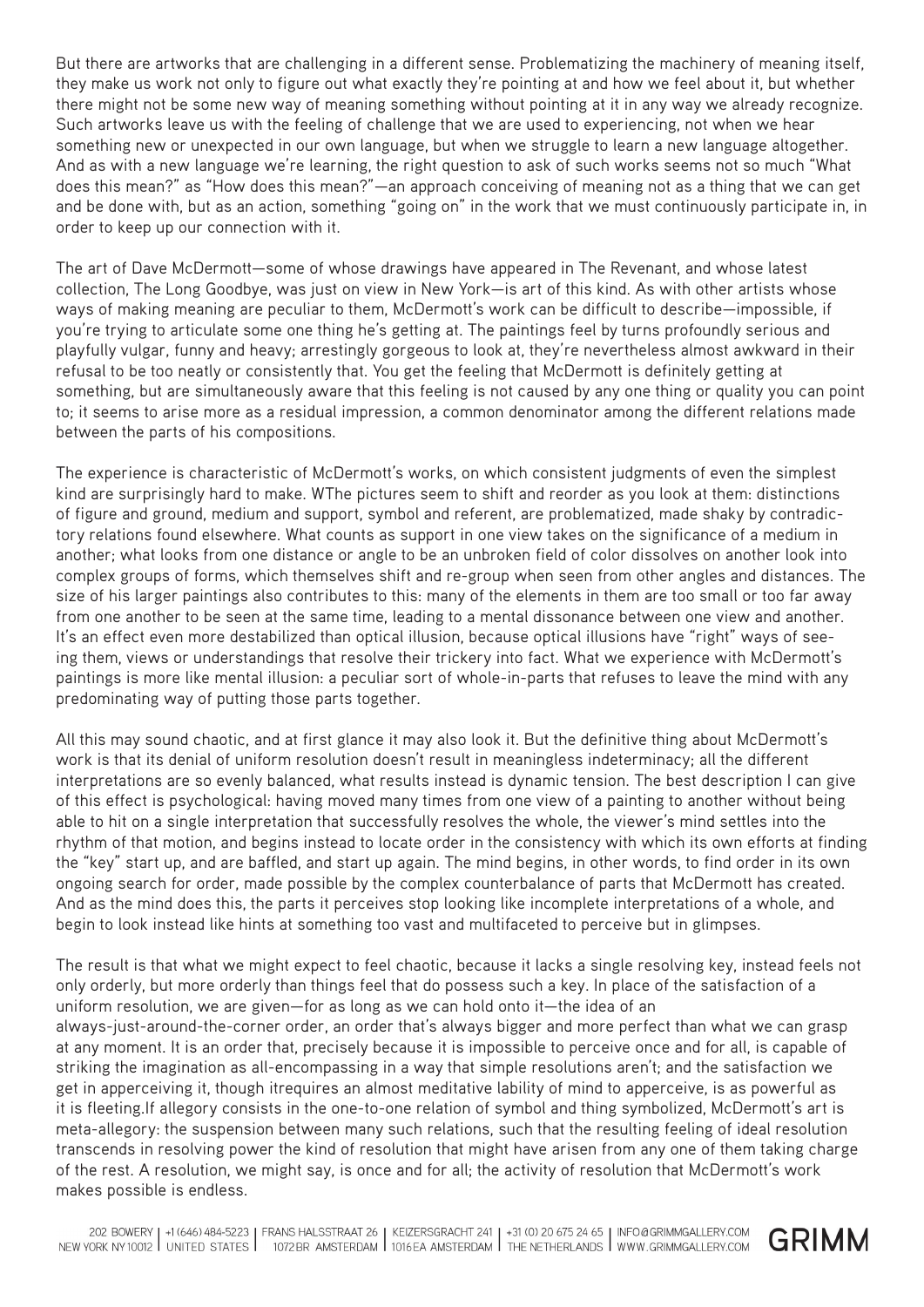But there are artworks that are challenging in a different sense. Problematizing the machinery of meaning itself, they make us work not only to figure out what exactly they're pointing at and how we feel about it, but whether there might not be some new way of meaning something without pointing at it in any way we already recognize. Such artworks leave us with the feeling of challenge that we are used to experiencing, not when we hear something new or unexpected in our own language, but when we struggle to learn a new language altogether. And as with a new language we're learning, the right question to ask of such works seems not so much "What does this mean?" as "How does this mean?"—an approach conceiving of meaning not as a thing that we can get and be done with, but as an action, something "going on" in the work that we must continuously participate in, in order to keep up our connection with it.

The art of Dave McDermott—some of whose drawings have appeared in The Revenant, and whose latest collection, The Long Goodbye, was just on view in New York—is art of this kind. As with other artists whose ways of making meaning are peculiar to them, McDermott's work can be difficult to describe—impossible, if you're trying to articulate some one thing he's getting at. The paintings feel by turns profoundly serious and playfully vulgar, funny and heavy; arrestingly gorgeous to look at, they're nevertheless almost awkward in their refusal to be too neatly or consistently that. You get the feeling that McDermott is definitely getting at something, but are simultaneously aware that this feeling is not caused by any one thing or quality you can point to; it seems to arise more as a residual impression, a common denominator among the different relations made between the parts of his compositions.

The experience is characteristic of McDermott's works, on which consistent judgments of even the simplest kind are surprisingly hard to make. WThe pictures seem to shift and reorder as you look at them: distinctions of figure and ground, medium and support, symbol and referent, are problematized, made shaky by contradictory relations found elsewhere. What counts as support in one view takes on the significance of a medium in another; what looks from one distance or angle to be an unbroken field of color dissolves on another look into complex groups of forms, which themselves shift and re-group when seen from other angles and distances. The size of his larger paintings also contributes to this: many of the elements in them are too small or too far away from one another to be seen at the same time, leading to a mental dissonance between one view and another. It's an effect even more destabilized than optical illusion, because optical illusions have "right" ways of seeing them, views or understandings that resolve their trickery into fact. What we experience with McDermott's paintings is more like mental illusion: a peculiar sort of whole-in-parts that refuses to leave the mind with any predominating way of putting those parts together.

All this may sound chaotic, and at first glance it may also look it. But the definitive thing about McDermott's work is that its denial of uniform resolution doesn't result in meaningless indeterminacy; all the different interpretations are so evenly balanced, what results instead is dynamic tension. The best description I can give of this effect is psychological: having moved many times from one view of a painting to another without being able to hit on a single interpretation that successfully resolves the whole, the viewer's mind settles into the rhythm of that motion, and begins instead to locate order in the consistency with which its own efforts at finding the "key" start up, and are baffled, and start up again. The mind begins, in other words, to find order in its own ongoing search for order, made possible by the complex counterbalance of parts that McDermott has created. And as the mind does this, the parts it perceives stop looking like incomplete interpretations of a whole, and begin to look instead like hints at something too vast and multifaceted to perceive but in glimpses.

The result is that what we might expect to feel chaotic, because it lacks a single resolving key, instead feels not only orderly, but more orderly than things feel that do possess such a key. In place of the satisfaction of a uniform resolution, we are given—for as long as we can hold onto it—the idea of an always-just-around-the-corner order, an order that's always bigger and more perfect than what we can grasp at any moment. It is an order that, precisely because it is impossible to perceive once and for all, is capable of striking the imagination as all-encompassing in a way that simple resolutions aren't; and the satisfaction we get in apperceiving it, though itrequires an almost meditative lability of mind to apperceive, is as powerful as it is fleeting.If allegory consists in the one-to-one relation of symbol and thing symbolized, McDermott's art is meta-allegory: the suspension between many such relations, such that the resulting feeling of ideal resolution transcends in resolving power the kind of resolution that might have arisen from any one of them taking charge of the rest. A resolution, we might say, is once and for all; the activity of resolution that McDermott's work makes possible is endless.

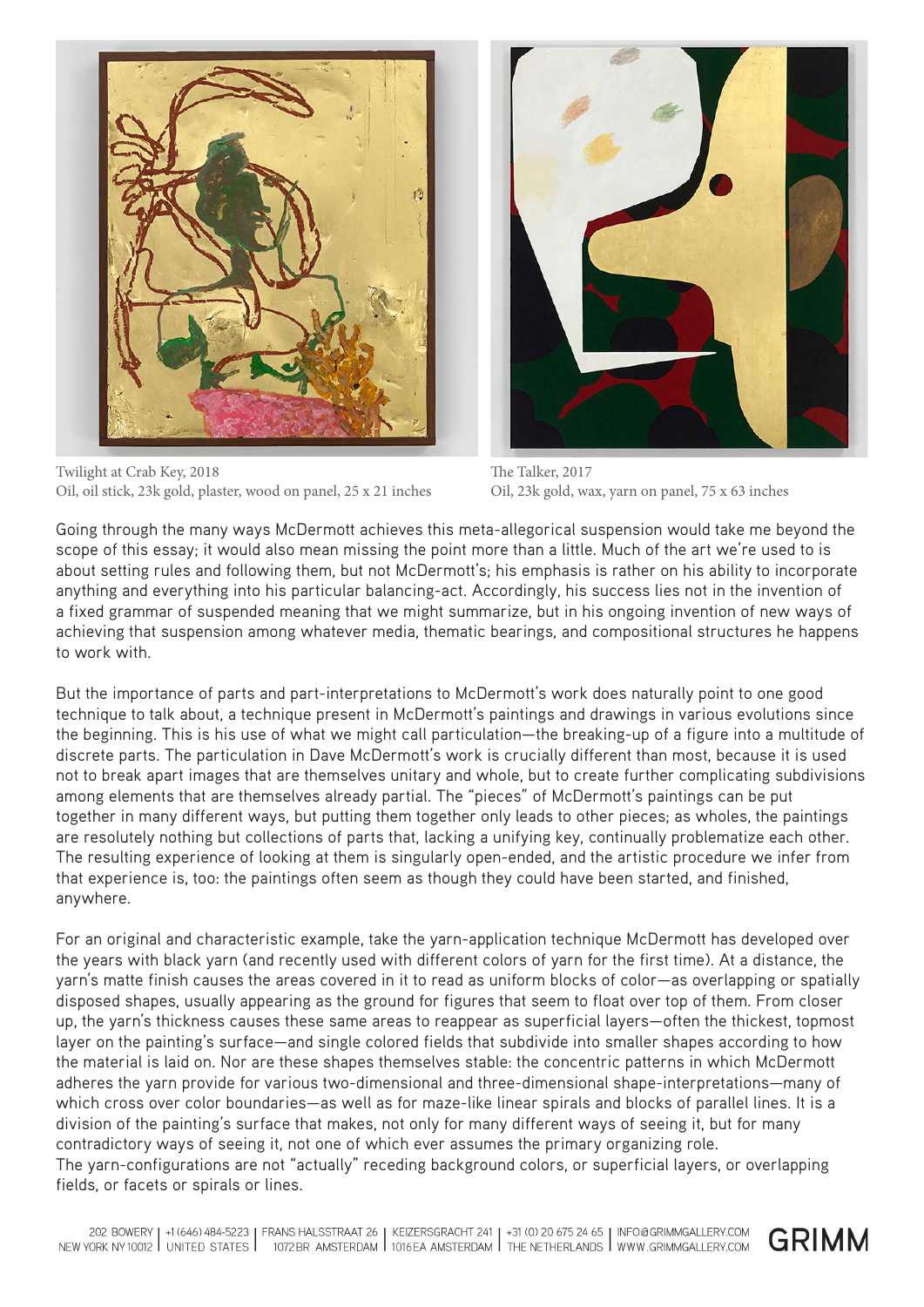

Twilight at Crab Key, 2018 Oil, oil stick, 23k gold, plaster, wood on panel, 25 x 21 inches



The Talker, 2017 Oil, 23k gold, wax, yarn on panel, 75 x 63 inches

Going through the many ways McDermott achieves this meta-allegorical suspension would take me beyond the scope of this essay; it would also mean missing the point more than a little. Much of the art we're used to is about setting rules and following them, but not McDermott's; his emphasis is rather on his ability to incorporate anything and everything into his particular balancing-act. Accordingly, his success lies not in the invention of a fixed grammar of suspended meaning that we might summarize, but in his ongoing invention of new ways of achieving that suspension among whatever media, thematic bearings, and compositional structures he happens to work with.

But the importance of parts and part-interpretations to McDermott's work does naturally point to one good technique to talk about, a technique present in McDermott's paintings and drawings in various evolutions since the beginning. This is his use of what we might call particulation—the breaking-up of a figure into a multitude of discrete parts. The particulation in Dave McDermott's work is crucially different than most, because it is used not to break apart images that are themselves unitary and whole, but to create further complicating subdivisions among elements that are themselves already partial. The "pieces" of McDermott's paintings can be put together in many different ways, but putting them together only leads to other pieces; as wholes, the paintings are resolutely nothing but collections of parts that, lacking a unifying key, continually problematize each other. The resulting experience of looking at them is singularly open-ended, and the artistic procedure we infer from that experience is, too: the paintings often seem as though they could have been started, and finished, anywhere.

For an original and characteristic example, take the yarn-application technique McDermott has developed over the years with black yarn (and recently used with different colors of yarn for the first time). At a distance, the yarn's matte finish causes the areas covered in it to read as uniform blocks of color—as overlapping or spatially disposed shapes, usually appearing as the ground for figures that seem to float over top of them. From closer up, the yarn's thickness causes these same areas to reappear as superficial layers—often the thickest, topmost layer on the painting's surface—and single colored fields that subdivide into smaller shapes according to how the material is laid on. Nor are these shapes themselves stable: the concentric patterns in which McDermott adheres the yarn provide for various two-dimensional and three-dimensional shape-interpretations—many of which cross over color boundaries—as well as for maze-like linear spirals and blocks of parallel lines. It is a division of the painting's surface that makes, not only for many different ways of seeing it, but for many contradictory ways of seeing it, not one of which ever assumes the primary organizing role. The yarn-configurations are not "actually" receding background colors, or superficial layers, or overlapping fields, or facets or spirals or lines.